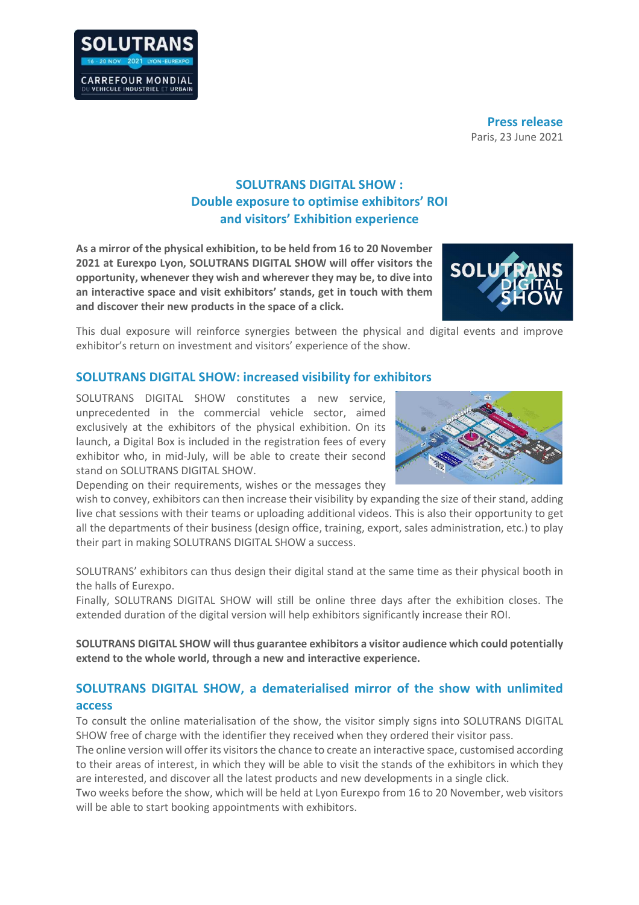

**Press release** Paris, 23 June 2021

## **SOLUTRANS DIGITAL SHOW : Double exposure to optimise exhibitors' ROI and visitors' Exhibition experience**

**As a mirror of the physical exhibition, to be held from 16 to 20 November 2021 at Eurexpo Lyon, SOLUTRANS DIGITAL SHOW will offer visitors the opportunity, whenever they wish and wherever they may be, to dive into an interactive space and visit exhibitors' stands, get in touch with them and discover their new products in the space of a click.** 



This dual exposure will reinforce synergies between the physical and digital events and improve exhibitor's return on investment and visitors' experience of the show.

## **SOLUTRANS DIGITAL SHOW: increased visibility for exhibitors**

SOLUTRANS DIGITAL SHOW constitutes a new service, unprecedented in the commercial vehicle sector, aimed exclusively at the exhibitors of the physical exhibition. On its launch, a Digital Box is included in the registration fees of every exhibitor who, in mid-July, will be able to create their second stand on SOLUTRANS DIGITAL SHOW.

Depending on their requirements, wishes or the messages they



wish to convey, exhibitors can then increase their visibility by expanding the size of their stand, adding live chat sessions with their teams or uploading additional videos. This is also their opportunity to get all the departments of their business (design office, training, export, sales administration, etc.) to play their part in making SOLUTRANS DIGITAL SHOW a success.

SOLUTRANS' exhibitors can thus design their digital stand at the same time as their physical booth in the halls of Eurexpo.

Finally, SOLUTRANS DIGITAL SHOW will still be online three days after the exhibition closes. The extended duration of the digital version will help exhibitors significantly increase their ROI.

**SOLUTRANS DIGITAL SHOW will thus guarantee exhibitors a visitor audience which could potentially extend to the whole world, through a new and interactive experience.** 

## **SOLUTRANS DIGITAL SHOW, a dematerialised mirror of the show with unlimited access**

To consult the online materialisation of the show, the visitor simply signs into SOLUTRANS DIGITAL SHOW free of charge with the identifier they received when they ordered their visitor pass.

The online version will offer its visitors the chance to create an interactive space, customised according to their areas of interest, in which they will be able to visit the stands of the exhibitors in which they are interested, and discover all the latest products and new developments in a single click.

Two weeks before the show, which will be held at Lyon Eurexpo from 16 to 20 November, web visitors will be able to start booking appointments with exhibitors.